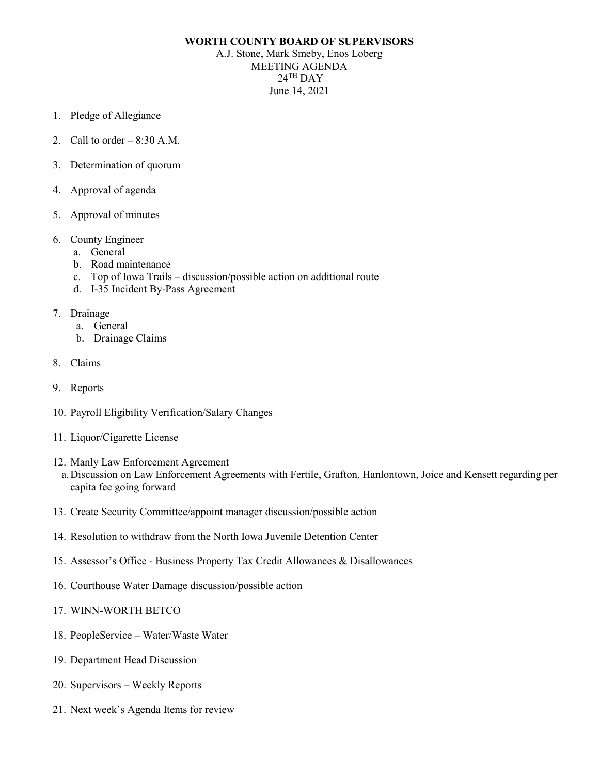## **WORTH COUNTY BOARD OF SUPERVISORS**

A.J. Stone, Mark Smeby, Enos Loberg MEETING AGENDA  $24$ <sup>TH</sup> DAY June 14, 2021

- 1. Pledge of Allegiance
- 2. Call to order  $-8:30$  A.M.
- 3. Determination of quorum
- 4. Approval of agenda
- 5. Approval of minutes
- 6. County Engineer
	- a. General
	- b. Road maintenance
	- c. Top of Iowa Trails discussion/possible action on additional route
	- d. I-35 Incident By-Pass Agreement
- 7. Drainage
	- a. General
	- b. Drainage Claims
- 8. Claims
- 9. Reports
- 10. Payroll Eligibility Verification/Salary Changes
- 11. Liquor/Cigarette License
- 12. Manly Law Enforcement Agreement
	- a.Discussion on Law Enforcement Agreements with Fertile, Grafton, Hanlontown, Joice and Kensett regarding per capita fee going forward
- 13. Create Security Committee/appoint manager discussion/possible action
- 14. Resolution to withdraw from the North Iowa Juvenile Detention Center
- 15. Assessor's Office Business Property Tax Credit Allowances & Disallowances
- 16. Courthouse Water Damage discussion/possible action
- 17. WINN-WORTH BETCO
- 18. PeopleService Water/Waste Water
- 19. Department Head Discussion
- 20. Supervisors Weekly Reports
- 21. Next week's Agenda Items for review